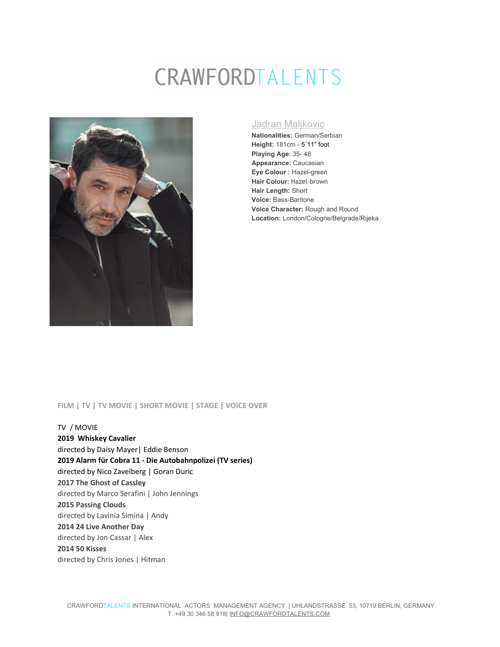# CRAWFORDTALENTS



### Jadran Maljkovic

**Nationalities:** German/Serbian **Height:** 181cm - 5´11" foot **Playing Age**: 35- 48 **Appearance:** Caucasian **Eye Colour :** Hazel-green **Hair Colour:** Hazel-brown **Hair Length:** Short **Voice:** Bass-Baritone **Voice Character:** Rough and Round **Location:** London/Cologne/Belgrade/Rijeka

#### **FILM | TV | TV MOVIE | SHORT MOVIE | STAGE | VOICE OVER**

TV / MOVIE **2019 Whiskey Cavalier** directed by Daisy Mayer| Eddie Benson **2019 Alarm für Cobra 11 - Die Autobahnpolizei (TV series)** directed by Nico Zavelberg | Goran Duric **2017 The Ghost of Cassley** directed by Marco Serafini | John Jennings **2015 Passing Clouds** directed by Lavinia Simina | Andy **2014 24 Live Another Day** directed by Jon Cassar | Alex **2014 50 Kisses** directed by Chris Jones | Hitman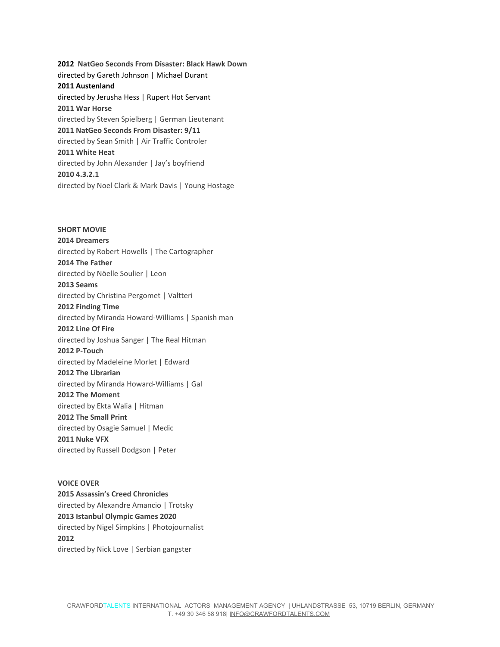**2012 NatGeo Seconds From Disaster: Black Hawk Down** directed by Gareth Johnson | Michael Durant **2011 Austenland** directed by Jerusha Hess | Rupert Hot Servant **2011 War Horse** directed by Steven Spielberg | German Lieutenant **2011 NatGeo Seconds From Disaster: 9/11** directed by Sean Smith | Air Traffic Controler **2011 White Heat** directed by John Alexander | Jay's boyfriend **2010 4.3.2.1** directed by Noel Clark & Mark Davis | Young Hostage

**SHORT MOVIE 2014 Dreamers** directed by Robert Howells | The Cartographer **2014 The Father** directed by Nöelle Soulier | Leon **2013 Seams** directed by Christina Pergomet | Valtteri **2012 Finding Time** directed by Miranda Howard-Williams | Spanish man **2012 Line Of Fire** directed by Joshua Sanger | The Real Hitman **2012 P-Touch** directed by Madeleine Morlet | Edward **2012 The Librarian** directed by Miranda Howard-Williams | Gal **2012 The Moment** directed by Ekta Walia | Hitman **2012 The Small Print** directed by Osagie Samuel | Medic **2011 Nuke VFX** directed by Russell Dodgson | Peter

**VOICE OVER 2015 Assassin's Creed Chronicles** directed by Alexandre Amancio | Trotsky **2013 Istanbul Olympic Games 2020** directed by Nigel Simpkins | Photojournalist **2012** directed by Nick Love | Serbian gangster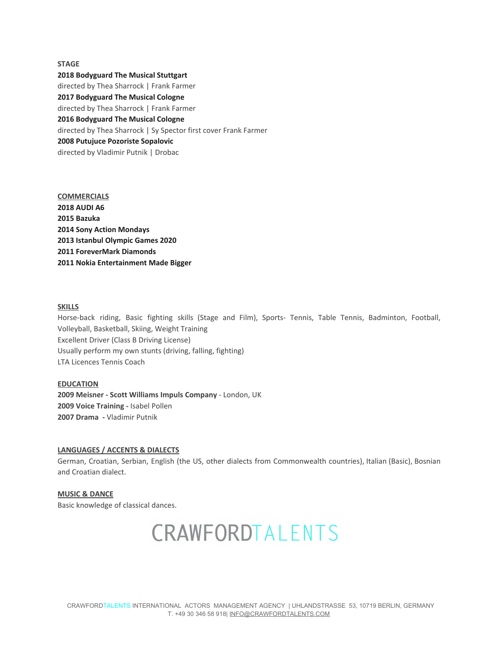#### **STAGE**

#### **2018 Bodyguard The Musical Stuttgart**

directed by Thea Sharrock | Frank Farmer **2017 Bodyguard The Musical Cologne** directed by Thea Sharrock | Frank Farmer **2016 Bodyguard The Musical Cologne** directed by Thea Sharrock | Sy Spector first cover Frank Farmer **2008 Putujuce Pozoriste Sopalovic** directed by Vladimir Putnik | Drobac

**COMMERCIALS 2018 AUDI A6 2015 Bazuka 2014 Sony Action Mondays 2013 Istanbul Olympic Games 2020 2011 ForeverMark Diamonds 2011 Nokia Entertainment Made Bigger**

#### **SKILLS**

Horse-back riding, Basic fighting skills (Stage and Film), Sports- Tennis, Table Tennis, Badminton, Football, Volleyball, Basketball, Skiing, Weight Training Excellent Driver (Class B Driving License) Usually perform my own stunts (driving, falling, fighting) LTA Licences Tennis Coach

#### **EDUCATION**

**2009 Meisner - Scott Williams Impuls Company** - London, UK **2009 Voice Training -** Isabel Pollen **2007 Drama -** Vladimir Putnik

#### **LANGUAGES / ACCENTS & DIALECTS**

German, Croatian, Serbian, English (the US, other dialects from Commonwealth countries), Italian (Basic), Bosnian and Croatian dialect.

**MUSIC & DANCE** Basic knowledge of classical dances.

## CRAWFORDTALENTS